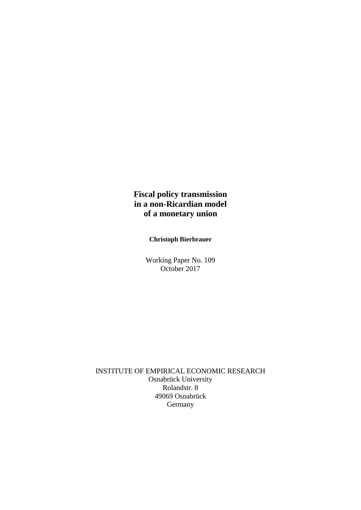## **Fiscal policy transmission in a non-Ricardian model of a monetary union**

**Christoph Bierbrauer**

Working Paper No. 109 October 2017

INSTITUTE OF EMPIRICAL ECONOMIC RESEARCH Osnabrück University Rolandstr. 8 49069 Osnabrück **Germany**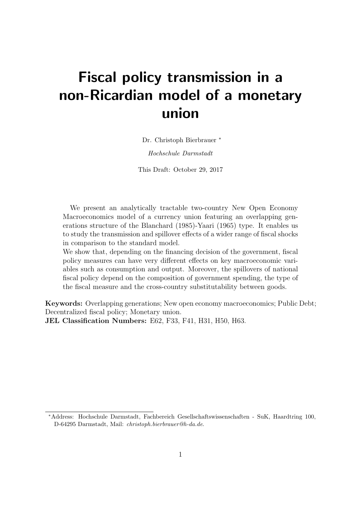# Fiscal policy transmission in a non-Ricardian model of a monetary union

Dr. Christoph Bierbrauer <sup>∗</sup>

Hochschule Darmstadt

This Draft: October 29, 2017

We present an analytically tractable two-country New Open Economy Macroeconomics model of a currency union featuring an overlapping generations structure of the Blanchard (1985)-Yaari (1965) type. It enables us to study the transmission and spillover effects of a wider range of fiscal shocks in comparison to the standard model.

We show that, depending on the financing decision of the government, fiscal policy measures can have very different effects on key macroeconomic variables such as consumption and output. Moreover, the spillovers of national fiscal policy depend on the composition of government spending, the type of the fiscal measure and the cross-country substitutability between goods.

Keywords: Overlapping generations; New open economy macroeconomics; Public Debt; Decentralized fiscal policy; Monetary union.

JEL Classification Numbers: E62, F33, F41, H31, H50, H63.

<sup>∗</sup>Address: Hochschule Darmstadt, Fachbereich Gesellschaftswissenschaften - SuK, Haardtring 100, D-64295 Darmstadt, Mail: christoph.bierbrauer@h-da.de.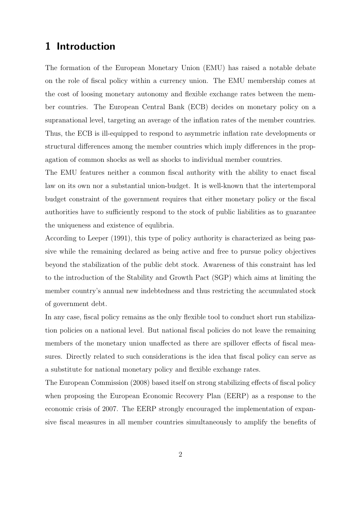## 1 Introduction

The formation of the European Monetary Union (EMU) has raised a notable debate on the role of fiscal policy within a currency union. The EMU membership comes at the cost of loosing monetary autonomy and flexible exchange rates between the member countries. The European Central Bank (ECB) decides on monetary policy on a supranational level, targeting an average of the inflation rates of the member countries. Thus, the ECB is ill-equipped to respond to asymmetric inflation rate developments or structural differences among the member countries which imply differences in the propagation of common shocks as well as shocks to individual member countries.

The EMU features neither a common fiscal authority with the ability to enact fiscal law on its own nor a substantial union-budget. It is well-known that the intertemporal budget constraint of the government requires that either monetary policy or the fiscal authorities have to sufficiently respond to the stock of public liabilities as to guarantee the uniqueness and existence of equlibria.

According to Leeper (1991), this type of policy authority is characterized as being passive while the remaining declared as being active and free to pursue policy objectives beyond the stabilization of the public debt stock. Awareness of this constraint has led to the introduction of the Stability and Growth Pact (SGP) which aims at limiting the member country's annual new indebtedness and thus restricting the accumulated stock of government debt.

In any case, fiscal policy remains as the only flexible tool to conduct short run stabilization policies on a national level. But national fiscal policies do not leave the remaining members of the monetary union unaffected as there are spillover effects of fiscal measures. Directly related to such considerations is the idea that fiscal policy can serve as a substitute for national monetary policy and flexible exchange rates.

The European Commission (2008) based itself on strong stabilizing effects of fiscal policy when proposing the European Economic Recovery Plan (EERP) as a response to the economic crisis of 2007. The EERP strongly encouraged the implementation of expansive fiscal measures in all member countries simultaneously to amplify the benefits of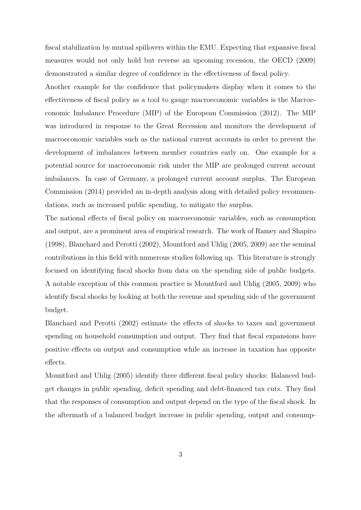fiscal stabilization by mutual spillovers within the EMU. Expecting that expansive fiscal measures would not only hold but reverse an upcoming recession, the OECD (2009) demonstrated a similar degree of confidence in the effectiveness of fiscal policy.

Another example for the confidence that policymakers display when it comes to the effectiveness of fiscal policy as a tool to gauge macroeconomic variables is the Macroeconomic Imbalance Procedure (MIP) of the European Commission (2012). The MIP was introduced in response to the Great Recession and monitors the development of macroeconomic variables such as the national current accounts in order to prevent the development of imbalances between member countries early on. One example for a potential source for macroeconomic risk under the MIP are prolonged current account imbalances. In case of Germany, a prolonged current account surplus. The European Commission (2014) provided an in-depth analysis along with detailed policy recommendations, such as increased public spending, to mitigate the surplus.

The national effects of fiscal policy on macroeconomic variables, such as consumption and output, are a prominent area of empirical research. The work of Ramey and Shapiro (1998), Blanchard and Perotti (2002), Mountford and Uhlig (2005, 2009) are the seminal contributions in this field with numerous studies following up. This literature is strongly focused on identifying fiscal shocks from data on the spending side of public budgets. A notable exception of this common practice is Mountford and Uhlig (2005, 2009) who identify fiscal shocks by looking at both the revenue and spending side of the government budget.

Blanchard and Perotti (2002) estimate the effects of shocks to taxes and government spending on household consumption and output. They find that fiscal expansions have positive effects on output and consumption while an increase in taxation has opposite effects.

Mountford and Uhlig (2005) identify three different fiscal policy shocks: Balanced budget changes in public spending, deficit spending and debt-financed tax cuts. They find that the responses of consumption and output depend on the type of the fiscal shock. In the aftermath of a balanced budget increase in public spending, output and consump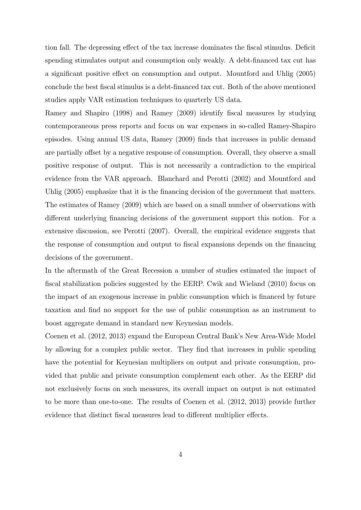tion fall. The depressing effect of the tax increase dominates the fiscal stimulus. Deficit spending stimulates output and consumption only weakly. A debt-financed tax cut has a significant positive effect on consumption and output. Mountford and Uhlig (2005) conclude the best fiscal stimulus is a debt-financed tax cut. Both of the above mentioned studies apply VAR estimation techniques to quarterly US data.

Ramey and Shapiro (1998) and Ramey (2009) identify fiscal measures by studying contemporaneous press reports and focus on war expenses in so-called Ramey-Shapiro episodes. Using annual US data, Ramey (2009) finds that increases in public demand are partially offset by a negative response of consumption. Overall, they observe a small positive response of output. This is not necessarily a contradiction to the empirical evidence from the VAR approach. Blanchard and Perotti (2002) and Mountford and Uhlig (2005) emphasize that it is the financing decision of the government that matters. The estimates of Ramey (2009) which are based on a small number of observations with different underlying financing decisions of the government support this notion. For a extensive discussion, see Perotti (2007). Overall, the empirical evidence suggests that the response of consumption and output to fiscal expansions depends on the financing decisions of the government.

In the aftermath of the Great Recession a number of studies estimated the impact of fiscal stabilization policies suggested by the EERP. Cwik and Wieland (2010) focus on the impact of an exogenous increase in public consumption which is financed by future taxation and find no support for the use of public consumption as an instrument to boost aggregate demand in standard new Keynesian models.

Coenen et al. (2012, 2013) expand the European Central Bank's New Area-Wide Model by allowing for a complex public sector. They find that increases in public spending have the potential for Keynesian multipliers on output and private consumption, provided that public and private consumption complement each other. As the EERP did not exclusively focus on such measures, its overall impact on output is not estimated to be more than one-to-one. The results of Coenen et al. (2012, 2013) provide further evidence that distinct fiscal measures lead to different multiplier effects.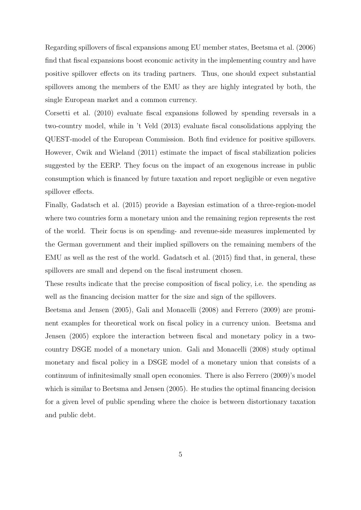Regarding spillovers of fiscal expansions among EU member states, Beetsma et al. (2006) find that fiscal expansions boost economic activity in the implementing country and have positive spillover effects on its trading partners. Thus, one should expect substantial spillovers among the members of the EMU as they are highly integrated by both, the single European market and a common currency.

Corsetti et al. (2010) evaluate fiscal expansions followed by spending reversals in a two-country model, while in 't Veld (2013) evaluate fiscal consolidations applying the QUEST-model of the European Commission. Both find evidence for positive spillovers. However, Cwik and Wieland (2011) estimate the impact of fiscal stabilization policies suggested by the EERP. They focus on the impact of an exogenous increase in public consumption which is financed by future taxation and report negligible or even negative spillover effects.

Finally, Gadatsch et al. (2015) provide a Bayesian estimation of a three-region-model where two countries form a monetary union and the remaining region represents the rest of the world. Their focus is on spending- and revenue-side measures implemented by the German government and their implied spillovers on the remaining members of the EMU as well as the rest of the world. Gadatsch et al. (2015) find that, in general, these spillovers are small and depend on the fiscal instrument chosen.

These results indicate that the precise composition of fiscal policy, i.e. the spending as well as the financing decision matter for the size and sign of the spillovers.

Beetsma and Jensen (2005), Gali and Monacelli (2008) and Ferrero (2009) are prominent examples for theoretical work on fiscal policy in a currency union. Beetsma and Jensen (2005) explore the interaction between fiscal and monetary policy in a twocountry DSGE model of a monetary union. Gali and Monacelli (2008) study optimal monetary and fiscal policy in a DSGE model of a monetary union that consists of a continuum of infinitesimally small open economies. There is also Ferrero (2009)'s model which is similar to Beetsma and Jensen (2005). He studies the optimal financing decision for a given level of public spending where the choice is between distortionary taxation and public debt.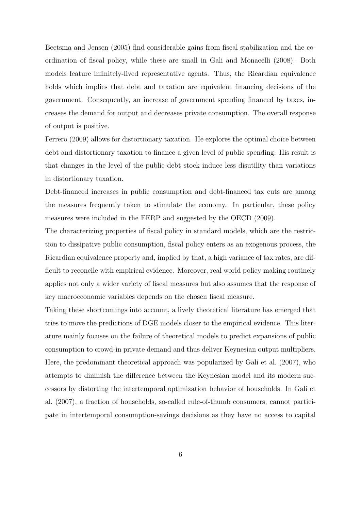Beetsma and Jensen (2005) find considerable gains from fiscal stabilization and the coordination of fiscal policy, while these are small in Gali and Monacelli (2008). Both models feature infinitely-lived representative agents. Thus, the Ricardian equivalence holds which implies that debt and taxation are equivalent financing decisions of the government. Consequently, an increase of government spending financed by taxes, increases the demand for output and decreases private consumption. The overall response of output is positive.

Ferrero (2009) allows for distortionary taxation. He explores the optimal choice between debt and distortionary taxation to finance a given level of public spending. His result is that changes in the level of the public debt stock induce less disutility than variations in distortionary taxation.

Debt-financed increases in public consumption and debt-financed tax cuts are among the measures frequently taken to stimulate the economy. In particular, these policy measures were included in the EERP and suggested by the OECD (2009).

The characterizing properties of fiscal policy in standard models, which are the restriction to dissipative public consumption, fiscal policy enters as an exogenous process, the Ricardian equivalence property and, implied by that, a high variance of tax rates, are difficult to reconcile with empirical evidence. Moreover, real world policy making routinely applies not only a wider variety of fiscal measures but also assumes that the response of key macroeconomic variables depends on the chosen fiscal measure.

Taking these shortcomings into account, a lively theoretical literature has emerged that tries to move the predictions of DGE models closer to the empirical evidence. This literature mainly focuses on the failure of theoretical models to predict expansions of public consumption to crowd-in private demand and thus deliver Keynesian output multipliers. Here, the predominant theoretical approach was popularized by Gali et al. (2007), who attempts to diminish the difference between the Keynesian model and its modern successors by distorting the intertemporal optimization behavior of households. In Gali et al. (2007), a fraction of households, so-called rule-of-thumb consumers, cannot participate in intertemporal consumption-savings decisions as they have no access to capital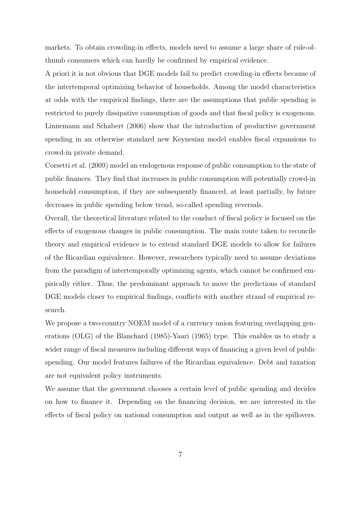markets. To obtain crowding-in effects, models need to assume a large share of rule-ofthumb consumers which can hardly be confirmed by empirical evidence.

A priori it is not obvious that DGE models fail to predict crowding-in effects because of the intertemporal optimizing behavior of households. Among the model characteristics at odds with the empirical findings, there are the assumptions that public spending is restricted to purely dissipative consumption of goods and that fiscal policy is exogenous. Linnemann and Schabert (2006) show that the introduction of productive government spending in an otherwise standard new Keynesian model enables fiscal expansions to crowd-in private demand.

Corsetti et al. (2009) model an endogenous response of public consumption to the state of public finances. They find that increases in public consumption will potentially crowd-in household consumption, if they are subsequently financed, at least partially, by future decreases in public spending below trend, so-called spending reversals.

Overall, the theoretical literature related to the conduct of fiscal policy is focused on the effects of exogenous changes in public consumption. The main route taken to reconcile theory and empirical evidence is to extend standard DGE models to allow for failures of the Ricardian equivalence. However, researchers typically need to assume deviations from the paradigm of intertemporally optimizing agents, which cannot be confirmed empirically either. Thus, the predominant approach to move the predictions of standard DGE models closer to empirical findings, conflicts with another strand of empirical research.

We propose a two-country NOEM model of a currency union featuring overlapping generations (OLG) of the Blanchard (1985)-Yaari (1965) type. This enables us to study a wider range of fiscal measures including different ways of financing a given level of public spending. Our model features failures of the Ricardian equivalence. Debt and taxation are not equivalent policy instruments.

We assume that the government chooses a certain level of public spending and decides on how to finance it. Depending on the financing decision, we are interested in the effects of fiscal policy on national consumption and output as well as in the spillovers.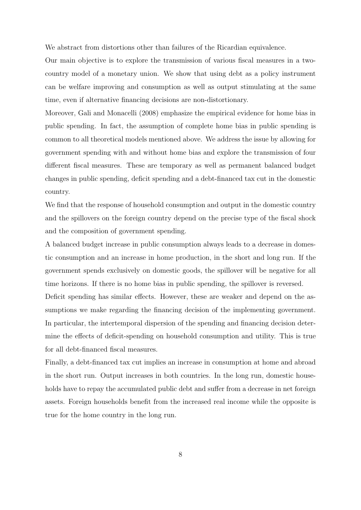We abstract from distortions other than failures of the Ricardian equivalence.

Our main objective is to explore the transmission of various fiscal measures in a twocountry model of a monetary union. We show that using debt as a policy instrument can be welfare improving and consumption as well as output stimulating at the same time, even if alternative financing decisions are non-distortionary.

Moreover, Gali and Monacelli (2008) emphasize the empirical evidence for home bias in public spending. In fact, the assumption of complete home bias in public spending is common to all theoretical models mentioned above. We address the issue by allowing for government spending with and without home bias and explore the transmission of four different fiscal measures. These are temporary as well as permanent balanced budget changes in public spending, deficit spending and a debt-financed tax cut in the domestic country.

We find that the response of household consumption and output in the domestic country and the spillovers on the foreign country depend on the precise type of the fiscal shock and the composition of government spending.

A balanced budget increase in public consumption always leads to a decrease in domestic consumption and an increase in home production, in the short and long run. If the government spends exclusively on domestic goods, the spillover will be negative for all time horizons. If there is no home bias in public spending, the spillover is reversed. Deficit spending has similar effects. However, these are weaker and depend on the assumptions we make regarding the financing decision of the implementing government. In particular, the intertemporal dispersion of the spending and financing decision determine the effects of deficit-spending on household consumption and utility. This is true for all debt-financed fiscal measures.

Finally, a debt-financed tax cut implies an increase in consumption at home and abroad in the short run. Output increases in both countries. In the long run, domestic households have to repay the accumulated public debt and suffer from a decrease in net foreign assets. Foreign households benefit from the increased real income while the opposite is true for the home country in the long run.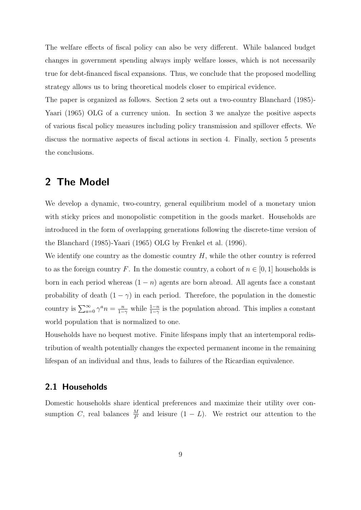The welfare effects of fiscal policy can also be very different. While balanced budget changes in government spending always imply welfare losses, which is not necessarily true for debt-financed fiscal expansions. Thus, we conclude that the proposed modelling strategy allows us to bring theoretical models closer to empirical evidence.

The paper is organized as follows. Section 2 sets out a two-country Blanchard (1985)- Yaari (1965) OLG of a currency union. In section 3 we analyze the positive aspects of various fiscal policy measures including policy transmission and spillover effects. We discuss the normative aspects of fiscal actions in section 4. Finally, section 5 presents the conclusions.

## 2 The Model

We develop a dynamic, two-country, general equilibrium model of a monetary union with sticky prices and monopolistic competition in the goods market. Households are introduced in the form of overlapping generations following the discrete-time version of the Blanchard (1985)-Yaari (1965) OLG by Frenkel et al. (1996).

We identify one country as the domestic country  $H$ , while the other country is referred to as the foreign country F. In the domestic country, a cohort of  $n \in [0,1]$  households is born in each period whereas  $(1 - n)$  agents are born abroad. All agents face a constant probability of death  $(1 - \gamma)$  in each period. Therefore, the population in the domestic country is  $\sum_{a=0}^{\infty} \gamma^a n = \frac{n}{1-n}$  $\frac{n}{1-\gamma}$  while  $\frac{1-n}{1-\gamma}$  is the population abroad. This implies a constant world population that is normalized to one.

Households have no bequest motive. Finite lifespans imply that an intertemporal redistribution of wealth potentially changes the expected permanent income in the remaining lifespan of an individual and thus, leads to failures of the Ricardian equivalence.

#### 2.1 Households

Domestic households share identical preferences and maximize their utility over consumption C, real balances  $\frac{M}{P}$  and leisure  $(1 - L)$ . We restrict our attention to the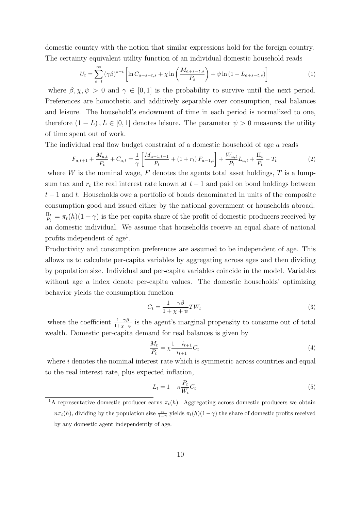domestic country with the notion that similar expressions hold for the foreign country. The certainty equivalent utility function of an individual domestic household reads

$$
U_t = \sum_{s=t}^{\infty} (\gamma \beta)^{s-t} \left[ \ln C_{a+s-t,s} + \chi \ln \left( \frac{M_{a+s-t,s}}{P_s} \right) + \psi \ln \left( 1 - L_{a+s-t,s} \right) \right]
$$
(1)

where  $\beta, \chi, \psi > 0$  and  $\gamma \in [0, 1]$  is the probability to survive until the next period. Preferences are homothetic and additively separable over consumption, real balances and leisure. The household's endowment of time in each period is normalized to one, therefore  $(1 - L)$ ,  $L \in [0, 1]$  denotes leisure. The parameter  $\psi > 0$  measures the utility of time spent out of work.

The individual real flow budget constraint of a domestic household of age a reads

$$
F_{a,t+1} + \frac{M_{a,t}}{P_t} + C_{a,t} = \frac{1}{\gamma} \left[ \frac{M_{a-1,t-1}}{P_t} + (1+r_t) F_{a-1,t} \right] + \frac{W_{a,t}}{P_t} L_{a,t} + \frac{\Pi_t}{P_t} - T_t
$$
 (2)

where  $W$  is the nominal wage,  $F$  denotes the agents total asset holdings,  $T$  is a lumpsum tax and  $r_t$  the real interest rate known at  $t-1$  and paid on bond holdings between  $t-1$  and t. Households owe a portfolio of bonds denominated in units of the composite consumption good and issued either by the national government or households abroad.  $\Pi_t$  $\frac{\Pi_t}{P_t} = \pi_t(h)(1-\gamma)$  is the per-capita share of the profit of domestic producers received by an domestic individual. We assume that households receive an equal share of national profits independent of age<sup>1</sup>.

Productivity and consumption preferences are assumed to be independent of age. This allows us to calculate per-capita variables by aggregating across ages and then dividing by population size. Individual and per-capita variables coincide in the model. Variables without age a index denote per-capita values. The domestic households' optimizing behavior yields the consumption function

$$
C_t = \frac{1 - \gamma \beta}{1 + \chi + \psi} T W_t \tag{3}
$$

where the coefficient  $\frac{1-\gamma\beta}{1+\chi+\psi}$  is the agent's marginal propensity to consume out of total wealth. Domestic per-capita demand for real balances is given by

$$
\frac{M_t}{P_t} = \chi \frac{1 + i_{t+1}}{i_{t+1}} C_t \tag{4}
$$

where  $i$  denotes the nominal interest rate which is symmetric across countries and equal to the real interest rate, plus expected inflation,

$$
L_t = 1 - \kappa \frac{P_t}{W_t} C_t \tag{5}
$$

<sup>&</sup>lt;sup>1</sup>A representative domestic producer earns  $\pi_t(h)$ . Aggregating across domestic producers we obtain  $n\pi_t(h)$ , dividing by the population size  $\frac{n}{1-\gamma}$  yields  $\pi_t(h)(1-\gamma)$  the share of domestic profits received by any domestic agent independently of age.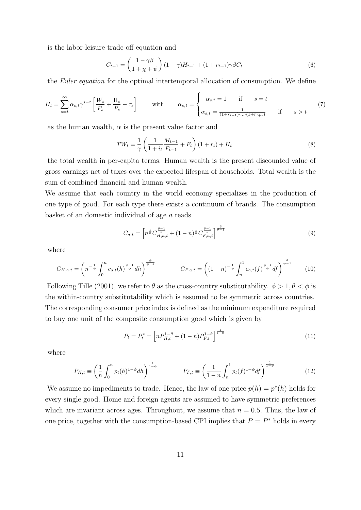is the labor-leisure trade-off equation and

$$
C_{t+1} = \left(\frac{1 - \gamma\beta}{1 + \chi + \psi}\right)(1 - \gamma)H_{t+1} + (1 + r_{t+1})\gamma\beta C_t
$$
\n(6)

the Euler equation for the optimal intertemporal allocation of consumption. We define

$$
H_t = \sum_{s=t}^{\infty} \alpha_{s,t} \gamma^{s-t} \left[ \frac{W_s}{P_s} + \frac{\Pi_s}{P_s} - \tau_s \right] \quad \text{with} \quad \alpha_{s,t} = \begin{cases} \alpha_{s,t} = 1 & \text{if} \quad s = t \\ \alpha_{s,t} = \frac{1}{(1+r_{t+1}) \dots (1+r_{t+s})} & \text{if} \quad s > t \end{cases} \tag{7}
$$

as the human wealth,  $\alpha$  is the present value factor and

$$
TW_t = \frac{1}{\gamma} \left( \frac{1}{1 + i_t} \frac{M_{t-1}}{P_{t-1}} + F_t \right) (1 + r_t) + H_t \tag{8}
$$

the total wealth in per-capita terms. Human wealth is the present discounted value of gross earnings net of taxes over the expected lifespan of households. Total wealth is the sum of combined financial and human wealth.

We assume that each country in the world economy specializes in the production of one type of good. For each type there exists a continuum of brands. The consumption basket of an domestic individual of age a reads

$$
C_{a,t} = \left[ n^{\frac{1}{\theta}} C^{\frac{\theta-1}{\theta}}_{H,a,t} + (1-n)^{\frac{1}{\theta}} C^{\frac{\theta-1}{\theta}}_{F,a,t} \right]^{\frac{\theta}{\theta-1}}
$$
(9)

where

$$
C_{H,a,t} = \left(n^{-\frac{1}{\phi}} \int_0^n c_{a,t}(h)^{\frac{\phi-1}{\phi}} dh\right)^{\frac{\phi}{\phi-1}}
$$
 
$$
C_{F,a,t} = \left((1-n)^{-\frac{1}{\phi}} \int_n^1 c_{a,t}(f)^{\frac{\phi-1}{\phi}} df\right)^{\frac{\phi}{\phi-1}}
$$
 (10)

Following Tille (2001), we refer to  $\theta$  as the cross-country substitutability.  $\phi > 1, \theta < \phi$  is the within-country substitutability which is assumed to be symmetric across countries. The corresponding consumer price index is defined as the minimum expenditure required to buy one unit of the composite consumption good which is given by

$$
P_t = P_t^* = \left[ n P_{H,t}^{1-\theta} + (1-n) P_{F,t}^{1-\theta} \right]^{\frac{1}{1-\theta}}
$$
\n(11)

where

$$
P_{H,t} \equiv \left(\frac{1}{n} \int_0^n p_t(h)^{1-\phi} dh\right)^{\frac{1}{1-\phi}} \qquad P_{F,t} \equiv \left(\frac{1}{1-n} \int_n^1 p_t(f)^{1-\phi} df\right)^{\frac{1}{1-\phi}}
$$
(12)

We assume no impediments to trade. Hence, the law of one price  $p(h) = p^*(h)$  holds for every single good. Home and foreign agents are assumed to have symmetric preferences which are invariant across ages. Throughout, we assume that  $n = 0.5$ . Thus, the law of one price, together with the consumption-based CPI implies that  $P = P^*$  holds in every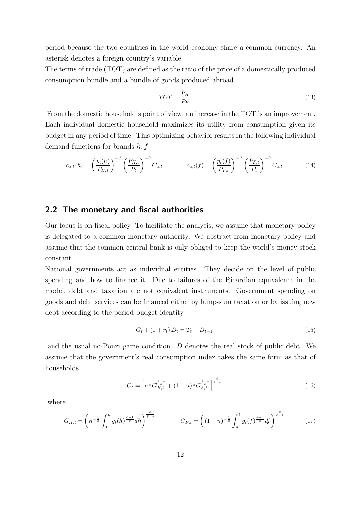period because the two countries in the world economy share a common currency. An asterisk denotes a foreign country's variable.

The terms of trade (TOT) are defined as the ratio of the price of a domestically produced consumption bundle and a bundle of goods produced abroad.

$$
TOT = \frac{P_H}{P_F} \tag{13}
$$

From the domestic household's point of view, an increase in the TOT is an improvement. Each individual domestic household maximizes its utility from consumption given its budget in any period of time. This optimizing behavior results in the following individual demand functions for brands  $h, f$ 

$$
c_{a,t}(h) = \left(\frac{p_t(h)}{P_{H,t}}\right)^{-\phi} \left(\frac{P_{H,t}}{P_t}\right)^{-\theta} C_{a,t} \qquad c_{a,t}(f) = \left(\frac{p_t(f)}{P_{F,t}}\right)^{-\phi} \left(\frac{P_{F,t}}{P_t}\right)^{-\theta} C_{a,t} \qquad (14)
$$

#### 2.2 The monetary and fiscal authorities

Our focus is on fiscal policy. To facilitate the analysis, we assume that monetary policy is delegated to a common monetary authority. We abstract from monetary policy and assume that the common central bank is only obliged to keep the world's money stock constant.

National governments act as individual entities. They decide on the level of public spending and how to finance it. Due to failures of the Ricardian equivalence in the model, debt and taxation are not equivalent instruments. Government spending on goods and debt services can be financed either by lump-sum taxation or by issuing new debt according to the period budget identity

$$
G_t + (1 + r_t) D_t = T_t + D_{t+1}
$$
\n(15)

and the usual no-Ponzi game condition. D denotes the real stock of public debt. We assume that the government's real consumption index takes the same form as that of households

$$
G_t = \left[ n^{\frac{1}{\theta}} G_{H,t}^{\frac{\theta-1}{\theta}} + (1-n)^{\frac{1}{\theta}} G_{F,t}^{\frac{\theta-1}{\theta}} \right]^{\frac{\theta}{\theta-1}}
$$
(16)

where

$$
G_{H,t} = \left(n^{-\frac{1}{\phi}} \int_0^n g_t(h)^{\frac{\phi-1}{\phi}} dh\right)^{\frac{\phi}{\phi-1}} \qquad G_{F,t} = \left((1-n)^{-\frac{1}{\phi}} \int_n^1 g_t(f)^{\frac{\phi-1}{\phi}} df\right)^{\frac{\phi}{\phi-1}} \qquad (17)
$$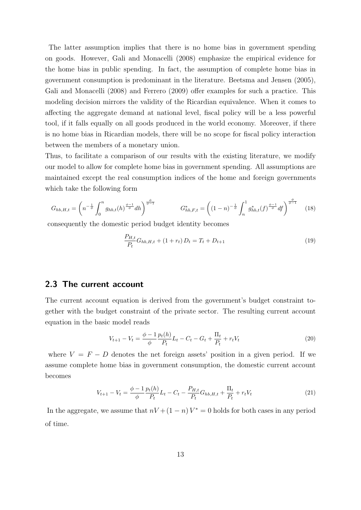The latter assumption implies that there is no home bias in government spending on goods. However, Gali and Monacelli (2008) emphasize the empirical evidence for the home bias in public spending. In fact, the assumption of complete home bias in government consumption is predominant in the literature. Beetsma and Jensen (2005), Gali and Monacelli (2008) and Ferrero (2009) offer examples for such a practice. This modeling decision mirrors the validity of the Ricardian equivalence. When it comes to affecting the aggregate demand at national level, fiscal policy will be a less powerful tool, if it falls equally on all goods produced in the world economy. Moreover, if there is no home bias in Ricardian models, there will be no scope for fiscal policy interaction between the members of a monetary union.

Thus, to facilitate a comparison of our results with the existing literature, we modify our model to allow for complete home bias in government spending. All assumptions are maintained except the real consumption indices of the home and foreign governments which take the following form

$$
G_{hb,H,t} = \left(n^{-\frac{1}{\phi}} \int_0^n g_{hb,t}(h)^{\frac{\phi-1}{\phi}} dh\right)^{\frac{\phi}{\phi-1}} \qquad G_{hb,F,t}^* = \left((1-n)^{-\frac{1}{\phi}} \int_n^1 g_{hb,t}^*(f)^{\frac{\phi-1}{\phi}} df\right)^{\frac{\phi}{\phi-1}} \tag{18}
$$

consequently the domestic period budget identity becomes

$$
\frac{P_{H,t}}{P_t}G_{hb,H,t} + (1 + r_t)D_t = T_t + D_{t+1}
$$
\n(19)

#### 2.3 The current account

The current account equation is derived from the government's budget constraint together with the budget constraint of the private sector. The resulting current account equation in the basic model reads

$$
V_{t+1} - V_t = \frac{\phi - 1}{\phi} \frac{p_t(h)}{P_t} L_t - C_t - G_t + \frac{\Pi_t}{P_t} + r_t V_t
$$
\n(20)

where  $V = F - D$  denotes the net foreign assets' position in a given period. If we assume complete home bias in government consumption, the domestic current account becomes

$$
V_{t+1} - V_t = \frac{\phi - 1}{\phi} \frac{p_t(h)}{P_t} L_t - C_t - \frac{P_{H,t}}{P_t} G_{hb,H,t} + \frac{\Pi_t}{P_t} + r_t V_t
$$
\n(21)

In the aggregate, we assume that  $nV + (1 - n)V^* = 0$  holds for both cases in any period of time.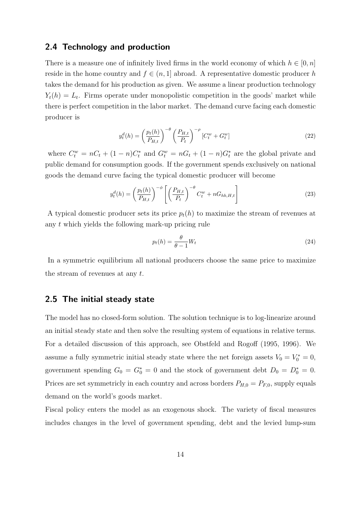#### 2.4 Technology and production

There is a measure one of infinitely lived firms in the world economy of which  $h \in [0, n]$ reside in the home country and  $f \in (n, 1]$  abroad. A representative domestic producer h takes the demand for his production as given. We assume a linear production technology  $Y_t(h) = L_t$ . Firms operate under monopolistic competition in the goods' market while there is perfect competition in the labor market. The demand curve facing each domestic producer is

$$
y_t^d(h) = \left(\frac{p_t(h)}{P_{H,t}}\right)^{-\theta} \left(\frac{P_{H,t}}{P_t}\right)^{-\rho} [C_t^w + G_t^w]
$$
\n
$$
(22)
$$

where  $C_t^w = nC_t + (1 - n)C_t^*$  and  $G_t^w = nC_t + (1 - n)G_t^*$  are the global private and public demand for consumption goods. If the government spends exclusively on national goods the demand curve facing the typical domestic producer will become

$$
y_t^d(h) = \left(\frac{p_t(h)}{P_{H,t}}\right)^{-\phi} \left[ \left(\frac{P_{H,t}}{P_t}\right)^{-\theta} C_t^w + nG_{hb,H,t} \right]
$$
(23)

A typical domestic producer sets its price  $p_t(h)$  to maximize the stream of revenues at any t which yields the following mark-up pricing rule

$$
p_t(h) = \frac{\theta}{\theta - 1} W_t \tag{24}
$$

In a symmetric equilibrium all national producers choose the same price to maximize the stream of revenues at any t.

#### 2.5 The initial steady state

The model has no closed-form solution. The solution technique is to log-linearize around an initial steady state and then solve the resulting system of equations in relative terms. For a detailed discussion of this approach, see Obstfeld and Rogoff (1995, 1996). We assume a fully symmetric initial steady state where the net foreign assets  $V_0 = V_0^* = 0$ , government spending  $G_0 = G_0^* = 0$  and the stock of government debt  $D_0 = D_0^* = 0$ . Prices are set symmetricly in each country and across borders  $P_{H,0} = P_{F,0}$ , supply equals demand on the world's goods market.

Fiscal policy enters the model as an exogenous shock. The variety of fiscal measures includes changes in the level of government spending, debt and the levied lump-sum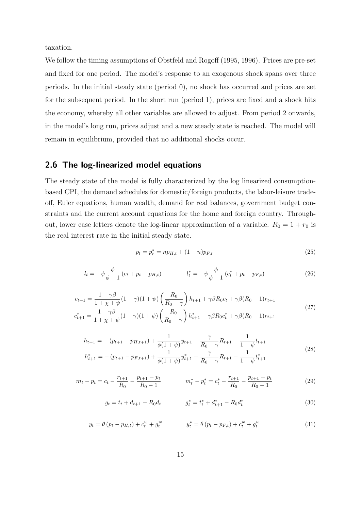taxation.

We follow the timing assumptions of Obstfeld and Rogoff (1995, 1996). Prices are pre-set and fixed for one period. The model's response to an exogenous shock spans over three periods. In the initial steady state (period 0), no shock has occurred and prices are set for the subsequent period. In the short run (period 1), prices are fixed and a shock hits the economy, whereby all other variables are allowed to adjust. From period 2 onwards, in the model's long run, prices adjust and a new steady state is reached. The model will remain in equilibrium, provided that no additional shocks occur.

#### 2.6 The log-linearized model equations

The steady state of the model is fully characterized by the log linearized consumptionbased CPI, the demand schedules for domestic/foreign products, the labor-leisure tradeoff, Euler equations, human wealth, demand for real balances, government budget constraints and the current account equations for the home and foreign country. Throughout, lower case letters denote the log-linear approximation of a variable.  $R_0 = 1 + r_0$  is the real interest rate in the initial steady state.

$$
p_t = p_t^* = np_{H,t} + (1 - n)p_{F,t}
$$
\n(25)

$$
l_{t} = -\psi \frac{\phi}{\phi - 1} (c_{t} + p_{t} - p_{H,t}) \qquad l_{t}^{*} = -\psi \frac{\phi}{\phi - 1} (c_{t}^{*} + p_{t} - p_{F,t}) \qquad (26)
$$

$$
c_{t+1} = \frac{1 - \gamma \beta}{1 + \chi + \psi} (1 - \gamma)(1 + \psi) \left(\frac{R_0}{R_0 - \gamma}\right) h_{t+1} + \gamma \beta R_0 c_t + \gamma \beta (R_0 - 1) r_{t+1}
$$
  

$$
c_{t+1}^* = \frac{1 - \gamma \beta}{1 + \chi + \psi} (1 - \gamma)(1 + \psi) \left(\frac{R_0}{R_0 - \gamma}\right) h_{t+1}^* + \gamma \beta R_0 c_t^* + \gamma \beta (R_0 - 1) r_{t+1}
$$
 (27)

$$
h_{t+1} = -(p_{t+1} - p_{H,t+1}) + \frac{1}{\phi(1+\psi)}y_{t+1} - \frac{\gamma}{R_0 - \gamma}R_{t+1} - \frac{1}{1+\psi}t_{t+1}
$$
  

$$
h_{t+1}^* = -(p_{t+1} - p_{F,t+1}) + \frac{1}{\phi(1+\psi)}y_{t+1}^* - \frac{\gamma}{R_0 - \gamma}R_{t+1} - \frac{1}{1+\psi}t_{t+1}^*
$$
(28)

$$
m_t - p_t = c_t - \frac{r_{t+1}}{R_0} - \frac{p_{t+1} - p_t}{R_0 - 1} \qquad m_t^* - p_t^* = c_t^* - \frac{r_{t+1}}{R_0} - \frac{p_{t+1} - p_t}{R_0 - 1} \tag{29}
$$

$$
g_t = t_t + d_{t+1} - R_0 d_t \qquad \qquad g_t^* = t_t^* + d_{t+1}^* - R_0 d_t^* \tag{30}
$$

$$
y_t = \theta (p_t - p_{H,t}) + c_t^w + g_t^w \qquad \qquad y_t^* = \theta (p_t - p_{F,t}) + c_t^w + g_t^w \qquad (31)
$$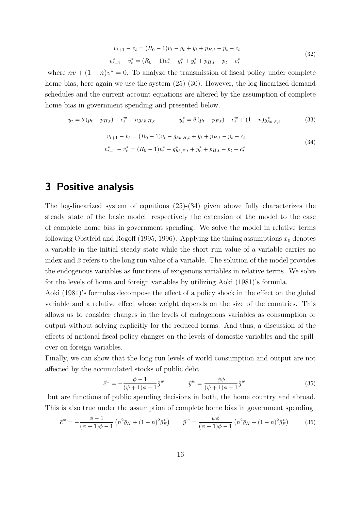$$
v_{t+1} - v_t = (R_0 - 1)v_t - g_t + y_t + p_{H,t} - p_t - c_t
$$
  

$$
v_{t+1}^* - v_t^* = (R_0 - 1)v_t^* - g_t^* + y_t^* + p_{H,t} - p_t - c_t^*
$$
 (32)

where  $nv + (1 - n)v^* = 0$ . To analyze the transmission of fiscal policy under complete home bias, here again we use the system  $(25)-(30)$ . However, the log linearized demand schedules and the current account equations are altered by the assumption of complete home bias in government spending and presented below.

$$
y_t = \theta (p_t - p_{H,t}) + c_t^w + n g_{hb,H,t} \qquad y_t^* = \theta (p_t - p_{F,t}) + c_t^w + (1 - n) g_{hb,F,t}^* \qquad (33)
$$

$$
v_{t+1} - v_t = (R_0 - 1)v_t - g_{hb,H,t} + y_t + p_{H,t} - p_t - c_t
$$

$$
v_{t+1}^* - v_t^* = (R_0 - 1)v_t^* - g_{hb,F,t}^* + y_t^* + p_{H,t} - p_t - c_t^*
$$

$$
(34)
$$

3 Positive analysis

The log-linearized system of equations (25)-(34) given above fully characterizes the steady state of the basic model, respectively the extension of the model to the case of complete home bias in government spending. We solve the model in relative terms following Obstfeld and Rogoff (1995, 1996). Applying the timing assumptions  $x_0$  denotes a variable in the initial steady state while the short run value of a variable carries no index and  $\bar{x}$  refers to the long run value of a variable. The solution of the model provides the endogenous variables as functions of exogenous variables in relative terms. We solve for the levels of home and foreign variables by utilizing Aoki (1981)'s formula.

Aoki (1981)'s formulas decompose the effect of a policy shock in the effect on the global variable and a relative effect whose weight depends on the size of the countries. This allows us to consider changes in the levels of endogenous variables as consumption or output without solving explicitly for the reduced forms. And thus, a discussion of the effects of national fiscal policy changes on the levels of domestic variables and the spillover on foreign variables.

Finally, we can show that the long run levels of world consumption and output are not affected by the accumulated stocks of public debt

$$
\bar{c}^w = -\frac{\phi - 1}{(\psi + 1)\phi - 1}\bar{g}^w \qquad \qquad \bar{y}^w = \frac{\psi\phi}{(\psi + 1)\phi - 1}\bar{g}^w \tag{35}
$$

but are functions of public spending decisions in both, the home country and abroad. This is also true under the assumption of complete home bias in government spending

$$
\bar{c}^w = -\frac{\phi - 1}{(\psi + 1)\phi - 1} \left( n^2 \bar{g}_H + (1 - n)^2 \bar{g}_F^* \right) \qquad \bar{y}^w = \frac{\psi \phi}{(\psi + 1)\phi - 1} \left( n^2 \bar{g}_H + (1 - n)^2 \bar{g}_F^* \right) \tag{36}
$$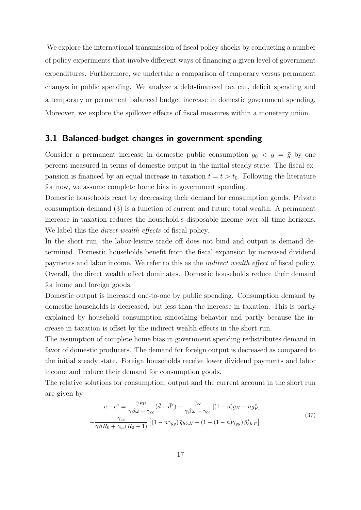We explore the international transmission of fiscal policy shocks by conducting a number of policy experiments that involve different ways of financing a given level of government expenditures. Furthermore, we undertake a comparison of temporary versus permanent changes in public spending. We analyze a debt-financed tax cut, deficit spending and a temporary or permanent balanced budget increase in domestic government spending. Moreover, we explore the spillover effects of fiscal measures within a monetary union.

#### 3.1 Balanced-budget changes in government spending

Consider a permanent increase in domestic public consumption  $g_0 < g = \bar{g}$  by one percent measured in terms of domestic output in the initial steady state. The fiscal expansion is financed by an equal increase in taxation  $t = \bar{t} > t_0$ . Following the literature for now, we assume complete home bias in government spending.

Domestic households react by decreasing their demand for consumption goods. Private consumption demand (3) is a function of current and future total wealth. A permanent increase in taxation reduces the household's disposable income over all time horizons. We label this the *direct wealth effects* of fiscal policy.

In the short run, the labor-leisure trade off does not bind and output is demand determined. Domestic households benefit from the fiscal expansion by increased dividend payments and labor income. We refer to this as the indirect wealth effect of fiscal policy. Overall, the direct wealth effect dominates. Domestic households reduce their demand for home and foreign goods.

Domestic output is increased one-to-one by public spending. Consumption demand by domestic households is decreased, but less than the increase in taxation. This is partly explained by household consumption smoothing behavior and partly because the increase in taxation is offset by the indirect wealth effects in the short run.

The assumption of complete home bias in government spending redistributes demand in favor of domestic producers. The demand for foreign output is decreased as compared to the initial steady state. Foreign households receive lower dividend payments and labor income and reduce their demand for consumption goods.

The relative solutions for consumption, output and the current account in the short run are given by

$$
c - c^* = \frac{\gamma_{EU}}{\gamma \beta \omega + \gamma_{cc}} (\bar{d} - \bar{d}^*) - \frac{\gamma_{cc}}{\gamma \beta \omega - \gamma_{cc}} [(1 - n)g_H - ng_F^*]
$$

$$
-\frac{\gamma_{cc}}{\gamma \beta R_0 + \gamma_{cc}(R_0 - 1)} [(1 - n\gamma_{gg})\bar{g}_{hb,H} - (1 - (1 - n)\gamma_{gg})\bar{g}_{hb,F}^*]
$$
(37)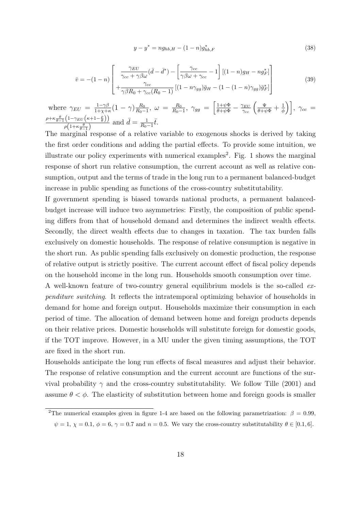$$
y - y^* = n g_{hb,H} - (1 - n) g^*_{hb,F}
$$
\n(38)

$$
\bar{v} = -(1-n) \left[ \frac{\gamma_{EU}}{\gamma_{cc} + \gamma \beta \omega} (\bar{d} - \bar{d}^*) - \left[ \frac{\gamma_{cc}}{\gamma \beta \omega + \gamma_{cc}} - 1 \right] \left[ (1-n)g_H - ng_F^* \right] + \frac{\gamma_{cc}}{\gamma \beta R_0 + \gamma_{cc} (R_0 - 1)} \left[ (1-n)\gamma_{gg} \right] \bar{g}_H - (1-(1-n)\gamma_{gg}) \bar{g}_F^* \right]
$$
\n(39)

where  $\gamma_{EU} = \frac{1-\gamma\beta}{1+\gamma+1}$  $\frac{1-\gamma\beta}{1+\chi+\kappa}(1-\gamma)\frac{R_0}{R_0-\gamma}$  $\frac{R_0}{R_0-1}, \ \omega \ = \ \frac{R_0}{R_0-1}$  $\frac{R_0}{R_0-1},\ \gamma_{gg}\ =\ \biggl[\frac{1+\psi\Phi}{\theta+\psi\Phi}-\frac{\gamma_{EU}}{\gamma_{cc}}\left(\frac{\Psi}{\theta+\psi\Phi}+\frac{1}{\phi}\right)$  $\left(\frac{1}{\phi}\right)\right], \ \gamma_{cc} =$  $\rho + \kappa \frac{\theta}{\theta-1} \left(1 - \gamma_{EU} \left(\kappa + 1 - \frac{\rho}{\theta}\right)\right)$  $\frac{\rho\left(1-\gamma_{EU}(\kappa+1-\frac{\mu}{\theta})\right)}{\rho\left(1+\kappa\frac{\theta}{\theta-1}\right)}$  and  $\bar{d}=\frac{1}{R_0}$  $\frac{1}{R_0-1}\bar{t}.$ 

The marginal response of a relative variable to exogenous shocks is derived by taking the first order conditions and adding the partial effects. To provide some intuition, we illustrate our policy experiments with numerical examples<sup>2</sup>. Fig. 1 shows the marginal response of short run relative consumption, the current account as well as relative consumption, output and the terms of trade in the long run to a permanent balanced-budget increase in public spending as functions of the cross-country substitutability.

If government spending is biased towards national products, a permanent balancedbudget increase will induce two asymmetries: Firstly, the composition of public spending differs from that of household demand and determines the indirect wealth effects. Secondly, the direct wealth effects due to changes in taxation. The tax burden falls exclusively on domestic households. The response of relative consumption is negative in the short run. As public spending falls exclusively on domestic production, the response of relative output is strictly positive. The current account effect of fiscal policy depends on the household income in the long run. Households smooth consumption over time.

A well-known feature of two-country general equilibrium models is the so-called expenditure switching. It reflects the intratemporal optimizing behavior of households in demand for home and foreign output. Households maximize their consumption in each period of time. The allocation of demand between home and foreign products depends on their relative prices. Domestic households will substitute foreign for domestic goods, if the TOT improve. However, in a MU under the given timing assumptions, the TOT are fixed in the short run.

Households anticipate the long run effects of fiscal measures and adjust their behavior. The response of relative consumption and the current account are functions of the survival probability  $\gamma$  and the cross-country substitutability. We follow Tille (2001) and assume  $\theta < \phi$ . The elasticity of substitution between home and foreign goods is smaller

<sup>&</sup>lt;sup>2</sup>The numerical examples given in figure 1-4 are based on the following parametrization:  $\beta = 0.99$ ,  $\psi = 1, \chi = 0.1, \phi = 6, \gamma = 0.7$  and  $n = 0.5$ . We vary the cross-country substitutability  $\theta \in [0.1, 6]$ .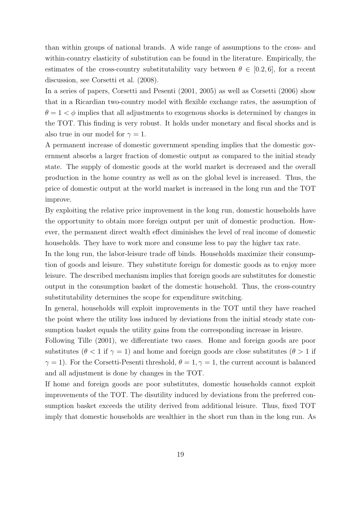than within groups of national brands. A wide range of assumptions to the cross- and within-country elasticity of substitution can be found in the literature. Empirically, the estimates of the cross-country substitutability vary between  $\theta \in [0.2, 6]$ , for a recent discussion, see Corsetti et al. (2008).

In a series of papers, Corsetti and Pesenti (2001, 2005) as well as Corsetti (2006) show that in a Ricardian two-country model with flexible exchange rates, the assumption of  $\theta = 1 < \phi$  implies that all adjustments to exogenous shocks is determined by changes in the TOT. This finding is very robust. It holds under monetary and fiscal shocks and is also true in our model for  $\gamma = 1$ .

A permanent increase of domestic government spending implies that the domestic government absorbs a larger fraction of domestic output as compared to the initial steady state. The supply of domestic goods at the world market is decreased and the overall production in the home country as well as on the global level is increased. Thus, the price of domestic output at the world market is increased in the long run and the TOT improve.

By exploiting the relative price improvement in the long run, domestic households have the opportunity to obtain more foreign output per unit of domestic production. However, the permanent direct wealth effect diminishes the level of real income of domestic households. They have to work more and consume less to pay the higher tax rate.

In the long run, the labor-leisure trade off binds. Households maximize their consumption of goods and leisure. They substitute foreign for domestic goods as to enjoy more leisure. The described mechanism implies that foreign goods are substitutes for domestic output in the consumption basket of the domestic household. Thus, the cross-country substitutability determines the scope for expenditure switching.

In general, households will exploit improvements in the TOT until they have reached the point where the utility loss induced by deviations from the initial steady state consumption basket equals the utility gains from the corresponding increase in leisure.

Following Tille (2001), we differentiate two cases. Home and foreign goods are poor substitutes ( $\theta$  < 1 if  $\gamma$  = 1) and home and foreign goods are close substitutes ( $\theta$  > 1 if  $\gamma = 1$ ). For the Corsetti-Pesenti threshold,  $\theta = 1, \gamma = 1$ , the current account is balanced and all adjustment is done by changes in the TOT.

If home and foreign goods are poor substitutes, domestic households cannot exploit improvements of the TOT. The disutility induced by deviations from the preferred consumption basket exceeds the utility derived from additional leisure. Thus, fixed TOT imply that domestic households are wealthier in the short run than in the long run. As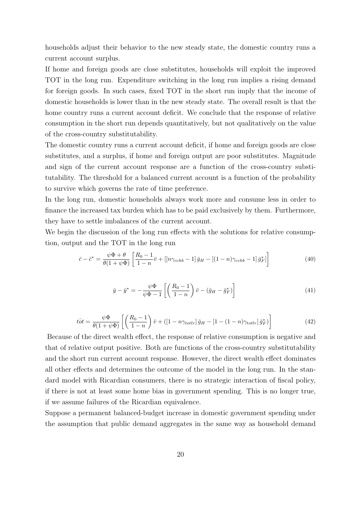households adjust their behavior to the new steady state, the domestic country runs a current account surplus.

If home and foreign goods are close substitutes, households will exploit the improved TOT in the long run. Expenditure switching in the long run implies a rising demand for foreign goods. In such cases, fixed TOT in the short run imply that the income of domestic households is lower than in the new steady state. The overall result is that the home country runs a current account deficit. We conclude that the response of relative consumption in the short run depends quantitatively, but not qualitatively on the value of the cross-country substitutability.

The domestic country runs a current account deficit, if home and foreign goods are close substitutes, and a surplus, if home and foreign output are poor substitutes. Magnitude and sign of the current account response are a function of the cross-country substitutability. The threshold for a balanced current account is a function of the probability to survive which governs the rate of time preference.

In the long run, domestic households always work more and consume less in order to finance the increased tax burden which has to be paid exclusively by them. Furthermore, they have to settle imbalances of the current account.

We begin the discussion of the long run effects with the solutions for relative consumption, output and the TOT in the long run

$$
\bar{c} - \bar{c}^* = \frac{\psi \Phi + \theta}{\theta (1 + \psi \Phi)} \left[ \frac{R_0 - 1}{1 - n} \bar{v} + \left[ \left[ n \gamma_{cchb} - 1 \right] \bar{g}_H - \left[ (1 - n) \gamma_{cchb} - 1 \right] \bar{g}_F^* \right] \right]
$$
(40)

$$
\bar{y} - \bar{y}^* = -\frac{\psi \Phi}{\psi \Phi - 1} \left[ \left( \frac{R_0 - 1}{1 - n} \right) \bar{v} - (\bar{g}_H - \bar{g}_F^*) \right]
$$
(41)

$$
\bar{tot} = \frac{\psi \Phi}{\theta (1 + \psi \Phi)} \left[ \left( \frac{R_0 - 1}{1 - n} \right) \bar{v} + \left( \left[ 1 - n \gamma_{totlr} \right] \bar{g}_H - \left[ 1 - (1 - n) \gamma_{totlr} \right] \bar{g}_F^* \right) \right]
$$
(42)

Because of the direct wealth effect, the response of relative consumption is negative and that of relative output positive. Both are functions of the cross-country substitutability and the short run current account response. However, the direct wealth effect dominates all other effects and determines the outcome of the model in the long run. In the standard model with Ricardian consumers, there is no strategic interaction of fiscal policy, if there is not at least some home bias in government spending. This is no longer true, if we assume failures of the Ricardian equivalence.

Suppose a permanent balanced-budget increase in domestic government spending under the assumption that public demand aggregates in the same way as household demand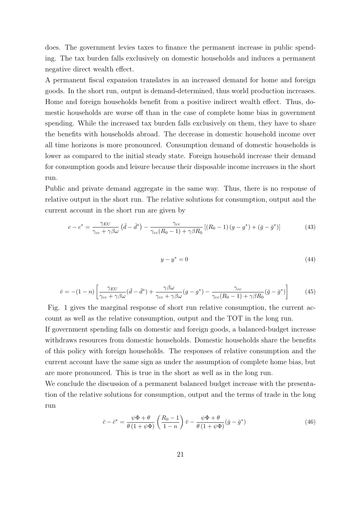does. The government levies taxes to finance the permanent increase in public spending. The tax burden falls exclusively on domestic households and induces a permanent negative direct wealth effect.

A permanent fiscal expansion translates in an increased demand for home and foreign goods. In the short run, output is demand-determined, thus world production increases. Home and foreign households benefit from a positive indirect wealth effect. Thus, domestic households are worse off than in the case of complete home bias in government spending. While the increased tax burden falls exclusively on them, they have to share the benefits with households abroad. The decrease in domestic household income over all time horizons is more pronounced. Consumption demand of domestic households is lower as compared to the initial steady state. Foreign household increase their demand for consumption goods and leisure because their disposable income increases in the short run.

Public and private demand aggregate in the same way. Thus, there is no response of relative output in the short run. The relative solutions for consumption, output and the current account in the short run are given by

$$
c - c^* = \frac{\gamma_{EU}}{\gamma_{cc} + \gamma \beta \omega} \left( \bar{d} - \bar{d}^* \right) - \frac{\gamma_{cc}}{\gamma_{cc}(R_0 - 1) + \gamma \beta R_0} \left[ (R_0 - 1) \left( g - g^* \right) + \left( \bar{g} - \bar{g}^* \right) \right] \tag{43}
$$

$$
y - y^* = 0 \tag{44}
$$

$$
\bar{v} = -(1-n)\left[\frac{\gamma_{EU}}{\gamma_{cc} + \gamma\beta\omega}(\bar{d} - \bar{d}^*) + \frac{\gamma\beta\omega}{\gamma_{cc} + \gamma\beta\omega}(g - g^*) - \frac{\gamma_{cc}}{\gamma_{cc}(R_0 - 1) + \gamma\beta R_0}(\bar{g} - \bar{g}^*)\right]
$$
(45)

Fig. 1 gives the marginal response of short run relative consumption, the current account as well as the relative consumption, output and the TOT in the long run.

If government spending falls on domestic and foreign goods, a balanced-budget increase withdraws resources from domestic households. Domestic households share the benefits of this policy with foreign households. The responses of relative consumption and the current account have the same sign as under the assumption of complete home bias, but are more pronounced. This is true in the short as well as in the long run.

We conclude the discussion of a permanent balanced budget increase with the presentation of the relative solutions for consumption, output and the terms of trade in the long run

$$
\bar{c} - \bar{c}^* = \frac{\psi \Phi + \theta}{\theta (1 + \psi \Phi)} \left( \frac{R_0 - 1}{1 - n} \right) \bar{v} - \frac{\psi \Phi + \theta}{\theta (1 + \psi \Phi)} (\bar{g} - \bar{g}^*)
$$
(46)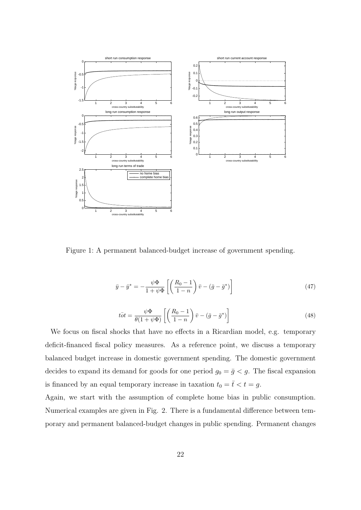

Figure 1: A permanent balanced-budget increase of government spending.

$$
\bar{y} - \bar{y}^* = -\frac{\psi \Phi}{1 + \psi \Phi} \left[ \left( \frac{R_0 - 1}{1 - n} \right) \bar{v} - (\bar{g} - \bar{g}^*) \right]
$$
\n(47)

$$
t\bar{\omega}t = \frac{\psi\Phi}{\theta(1+\psi\Phi)}\left[\left(\frac{R_0-1}{1-n}\right)\bar{v} - (\bar{g}-\bar{g}^*)\right]
$$
(48)

We focus on fiscal shocks that have no effects in a Ricardian model, e.g. temporary deficit-financed fiscal policy measures. As a reference point, we discuss a temporary balanced budget increase in domestic government spending. The domestic government decides to expand its demand for goods for one period  $g_0 = \bar{g} < g$ . The fiscal expansion is financed by an equal temporary increase in taxation  $t_0 = \overline{t} < t = g$ .

Again, we start with the assumption of complete home bias in public consumption. Numerical examples are given in Fig. 2. There is a fundamental difference between temporary and permanent balanced-budget changes in public spending. Permanent changes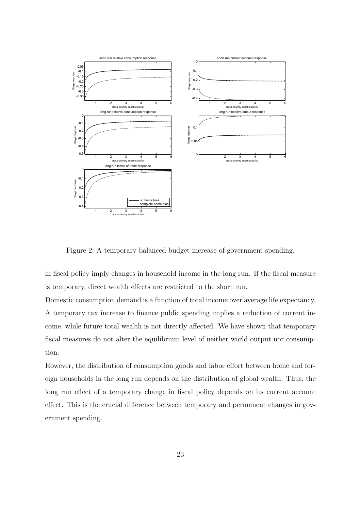

Figure 2: A temporary balanced-budget increase of government spending.

in fiscal policy imply changes in household income in the long run. If the fiscal measure is temporary, direct wealth effects are restricted to the short run.

Domestic consumption demand is a function of total income over average life expectancy. A temporary tax increase to finance public spending implies a reduction of current income, while future total wealth is not directly affected. We have shown that temporary fiscal measures do not alter the equilibrium level of neither world output nor consumption.

However, the distribution of consumption goods and labor effort between home and foreign households in the long run depends on the distribution of global wealth. Thus, the long run effect of a temporary change in fiscal policy depends on its current account effect. This is the crucial difference between temporary and permanent changes in government spending.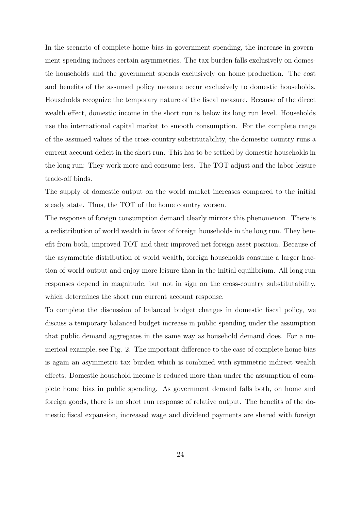In the scenario of complete home bias in government spending, the increase in government spending induces certain asymmetries. The tax burden falls exclusively on domestic households and the government spends exclusively on home production. The cost and benefits of the assumed policy measure occur exclusively to domestic households. Households recognize the temporary nature of the fiscal measure. Because of the direct wealth effect, domestic income in the short run is below its long run level. Households use the international capital market to smooth consumption. For the complete range of the assumed values of the cross-country substitutability, the domestic country runs a current account deficit in the short run. This has to be settled by domestic households in the long run: They work more and consume less. The TOT adjust and the labor-leisure trade-off binds.

The supply of domestic output on the world market increases compared to the initial steady state. Thus, the TOT of the home country worsen.

The response of foreign consumption demand clearly mirrors this phenomenon. There is a redistribution of world wealth in favor of foreign households in the long run. They benefit from both, improved TOT and their improved net foreign asset position. Because of the asymmetric distribution of world wealth, foreign households consume a larger fraction of world output and enjoy more leisure than in the initial equilibrium. All long run responses depend in magnitude, but not in sign on the cross-country substitutability, which determines the short run current account response.

To complete the discussion of balanced budget changes in domestic fiscal policy, we discuss a temporary balanced budget increase in public spending under the assumption that public demand aggregates in the same way as household demand does. For a numerical example, see Fig. 2. The important difference to the case of complete home bias is again an asymmetric tax burden which is combined with symmetric indirect wealth effects. Domestic household income is reduced more than under the assumption of complete home bias in public spending. As government demand falls both, on home and foreign goods, there is no short run response of relative output. The benefits of the domestic fiscal expansion, increased wage and dividend payments are shared with foreign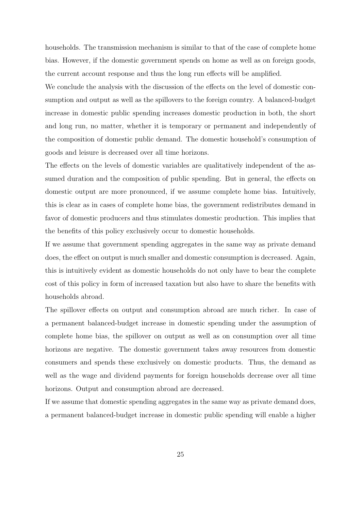households. The transmission mechanism is similar to that of the case of complete home bias. However, if the domestic government spends on home as well as on foreign goods, the current account response and thus the long run effects will be amplified.

We conclude the analysis with the discussion of the effects on the level of domestic consumption and output as well as the spillovers to the foreign country. A balanced-budget increase in domestic public spending increases domestic production in both, the short and long run, no matter, whether it is temporary or permanent and independently of the composition of domestic public demand. The domestic household's consumption of goods and leisure is decreased over all time horizons.

The effects on the levels of domestic variables are qualitatively independent of the assumed duration and the composition of public spending. But in general, the effects on domestic output are more pronounced, if we assume complete home bias. Intuitively, this is clear as in cases of complete home bias, the government redistributes demand in favor of domestic producers and thus stimulates domestic production. This implies that the benefits of this policy exclusively occur to domestic households.

If we assume that government spending aggregates in the same way as private demand does, the effect on output is much smaller and domestic consumption is decreased. Again, this is intuitively evident as domestic households do not only have to bear the complete cost of this policy in form of increased taxation but also have to share the benefits with households abroad.

The spillover effects on output and consumption abroad are much richer. In case of a permanent balanced-budget increase in domestic spending under the assumption of complete home bias, the spillover on output as well as on consumption over all time horizons are negative. The domestic government takes away resources from domestic consumers and spends these exclusively on domestic products. Thus, the demand as well as the wage and dividend payments for foreign households decrease over all time horizons. Output and consumption abroad are decreased.

If we assume that domestic spending aggregates in the same way as private demand does, a permanent balanced-budget increase in domestic public spending will enable a higher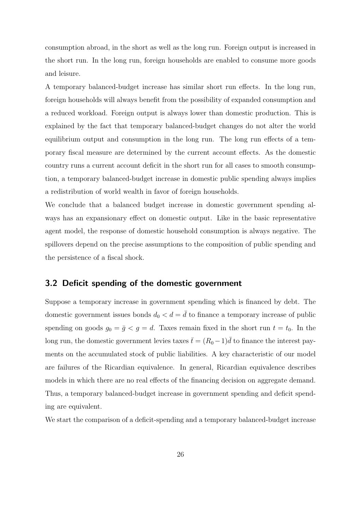consumption abroad, in the short as well as the long run. Foreign output is increased in the short run. In the long run, foreign households are enabled to consume more goods and leisure.

A temporary balanced-budget increase has similar short run effects. In the long run, foreign households will always benefit from the possibility of expanded consumption and a reduced workload. Foreign output is always lower than domestic production. This is explained by the fact that temporary balanced-budget changes do not alter the world equilibrium output and consumption in the long run. The long run effects of a temporary fiscal measure are determined by the current account effects. As the domestic country runs a current account deficit in the short run for all cases to smooth consumption, a temporary balanced-budget increase in domestic public spending always implies a redistribution of world wealth in favor of foreign households.

We conclude that a balanced budget increase in domestic government spending always has an expansionary effect on domestic output. Like in the basic representative agent model, the response of domestic household consumption is always negative. The spillovers depend on the precise assumptions to the composition of public spending and the persistence of a fiscal shock.

#### 3.2 Deficit spending of the domestic government

Suppose a temporary increase in government spending which is financed by debt. The domestic government issues bonds  $d_0 < d = \overline{d}$  to finance a temporary increase of public spending on goods  $g_0 = \bar{g} < g = d$ . Taxes remain fixed in the short run  $t = t_0$ . In the long run, the domestic government levies taxes  $\bar{t} = (R_0 - 1)\bar{d}$  to finance the interest payments on the accumulated stock of public liabilities. A key characteristic of our model are failures of the Ricardian equivalence. In general, Ricardian equivalence describes models in which there are no real effects of the financing decision on aggregate demand. Thus, a temporary balanced-budget increase in government spending and deficit spending are equivalent.

We start the comparison of a deficit-spending and a temporary balanced-budget increase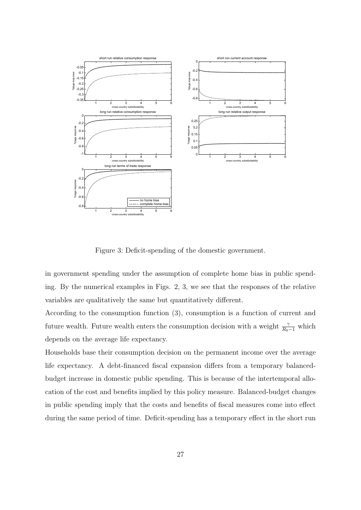

Figure 3: Deficit-spending of the domestic government.

in government spending under the assumption of complete home bias in public spending. By the numerical examples in Figs. 2, 3, we see that the responses of the relative variables are qualitatively the same but quantitatively different.

According to the consumption function (3), consumption is a function of current and future wealth. Future wealth enters the consumption decision with a weight  $\frac{\gamma}{R_0-1}$  which depends on the average life expectancy.

Households base their consumption decision on the permanent income over the average life expectancy. A debt-financed fiscal expansion differs from a temporary balancedbudget increase in domestic public spending. This is because of the intertemporal allocation of the cost and benefits implied by this policy measure. Balanced-budget changes in public spending imply that the costs and benefits of fiscal measures come into effect during the same period of time. Deficit-spending has a temporary effect in the short run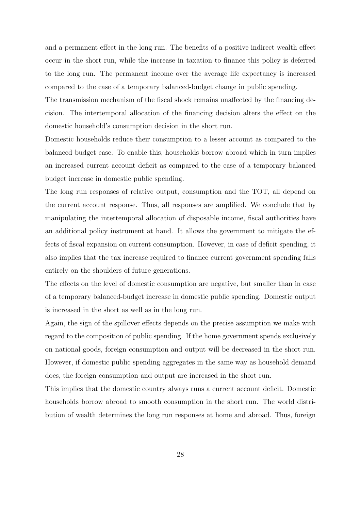and a permanent effect in the long run. The benefits of a positive indirect wealth effect occur in the short run, while the increase in taxation to finance this policy is deferred to the long run. The permanent income over the average life expectancy is increased compared to the case of a temporary balanced-budget change in public spending.

The transmission mechanism of the fiscal shock remains unaffected by the financing decision. The intertemporal allocation of the financing decision alters the effect on the domestic household's consumption decision in the short run.

Domestic households reduce their consumption to a lesser account as compared to the balanced budget case. To enable this, households borrow abroad which in turn implies an increased current account deficit as compared to the case of a temporary balanced budget increase in domestic public spending.

The long run responses of relative output, consumption and the TOT, all depend on the current account response. Thus, all responses are amplified. We conclude that by manipulating the intertemporal allocation of disposable income, fiscal authorities have an additional policy instrument at hand. It allows the government to mitigate the effects of fiscal expansion on current consumption. However, in case of deficit spending, it also implies that the tax increase required to finance current government spending falls entirely on the shoulders of future generations.

The effects on the level of domestic consumption are negative, but smaller than in case of a temporary balanced-budget increase in domestic public spending. Domestic output is increased in the short as well as in the long run.

Again, the sign of the spillover effects depends on the precise assumption we make with regard to the composition of public spending. If the home government spends exclusively on national goods, foreign consumption and output will be decreased in the short run. However, if domestic public spending aggregates in the same way as household demand does, the foreign consumption and output are increased in the short run.

This implies that the domestic country always runs a current account deficit. Domestic households borrow abroad to smooth consumption in the short run. The world distribution of wealth determines the long run responses at home and abroad. Thus, foreign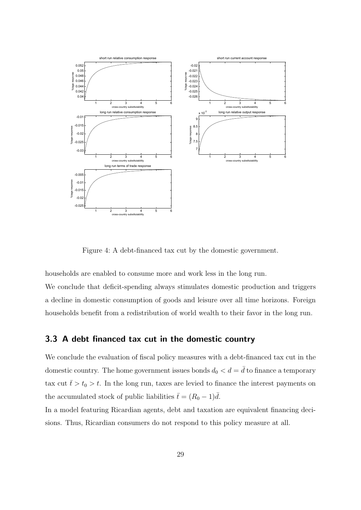

Figure 4: A debt-financed tax cut by the domestic government.

households are enabled to consume more and work less in the long run.

We conclude that deficit-spending always stimulates domestic production and triggers a decline in domestic consumption of goods and leisure over all time horizons. Foreign households benefit from a redistribution of world wealth to their favor in the long run.

### 3.3 A debt financed tax cut in the domestic country

We conclude the evaluation of fiscal policy measures with a debt-financed tax cut in the domestic country. The home government issues bonds  $d_0 < d = \overline{d}$  to finance a temporary tax cut  $\bar{t} > t_0 > t$ . In the long run, taxes are levied to finance the interest payments on the accumulated stock of public liabilities  $\bar{t} = (R_0 - 1)\bar{d}$ .

In a model featuring Ricardian agents, debt and taxation are equivalent financing decisions. Thus, Ricardian consumers do not respond to this policy measure at all.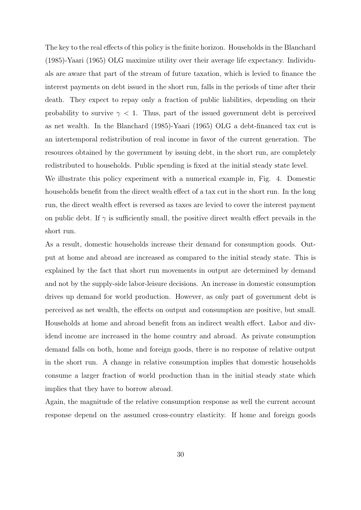The key to the real effects of this policy is the finite horizon. Households in the Blanchard (1985)-Yaari (1965) OLG maximize utility over their average life expectancy. Individuals are aware that part of the stream of future taxation, which is levied to finance the interest payments on debt issued in the short run, falls in the periods of time after their death. They expect to repay only a fraction of public liabilities, depending on their probability to survive  $\gamma$  < 1. Thus, part of the issued government debt is perceived as net wealth. In the Blanchard (1985)-Yaari (1965) OLG a debt-financed tax cut is an intertemporal redistribution of real income in favor of the current generation. The resources obtained by the government by issuing debt, in the short run, are completely redistributed to households. Public spending is fixed at the initial steady state level.

We illustrate this policy experiment with a numerical example in, Fig. 4. Domestic households benefit from the direct wealth effect of a tax cut in the short run. In the long run, the direct wealth effect is reversed as taxes are levied to cover the interest payment on public debt. If  $\gamma$  is sufficiently small, the positive direct wealth effect prevails in the short run.

As a result, domestic households increase their demand for consumption goods. Output at home and abroad are increased as compared to the initial steady state. This is explained by the fact that short run movements in output are determined by demand and not by the supply-side labor-leisure decisions. An increase in domestic consumption drives up demand for world production. However, as only part of government debt is perceived as net wealth, the effects on output and consumption are positive, but small. Households at home and abroad benefit from an indirect wealth effect. Labor and dividend income are increased in the home country and abroad. As private consumption demand falls on both, home and foreign goods, there is no response of relative output in the short run. A change in relative consumption implies that domestic households consume a larger fraction of world production than in the initial steady state which implies that they have to borrow abroad.

Again, the magnitude of the relative consumption response as well the current account response depend on the assumed cross-country elasticity. If home and foreign goods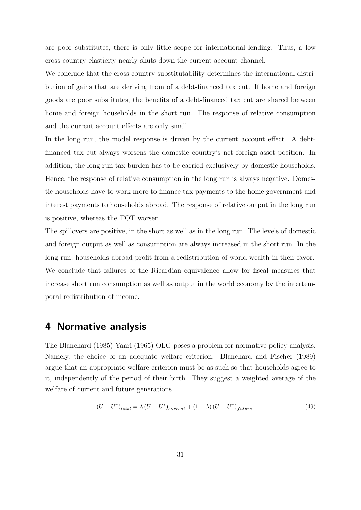are poor substitutes, there is only little scope for international lending. Thus, a low cross-country elasticity nearly shuts down the current account channel.

We conclude that the cross-country substitutability determines the international distribution of gains that are deriving from of a debt-financed tax cut. If home and foreign goods are poor substitutes, the benefits of a debt-financed tax cut are shared between home and foreign households in the short run. The response of relative consumption and the current account effects are only small.

In the long run, the model response is driven by the current account effect. A debtfinanced tax cut always worsens the domestic country's net foreign asset position. In addition, the long run tax burden has to be carried exclusively by domestic households. Hence, the response of relative consumption in the long run is always negative. Domestic households have to work more to finance tax payments to the home government and interest payments to households abroad. The response of relative output in the long run is positive, whereas the TOT worsen.

The spillovers are positive, in the short as well as in the long run. The levels of domestic and foreign output as well as consumption are always increased in the short run. In the long run, households abroad profit from a redistribution of world wealth in their favor. We conclude that failures of the Ricardian equivalence allow for fiscal measures that increase short run consumption as well as output in the world economy by the intertemporal redistribution of income.

## 4 Normative analysis

The Blanchard (1985)-Yaari (1965) OLG poses a problem for normative policy analysis. Namely, the choice of an adequate welfare criterion. Blanchard and Fischer (1989) argue that an appropriate welfare criterion must be as such so that households agree to it, independently of the period of their birth. They suggest a weighted average of the welfare of current and future generations

$$
(U - U^*)_{total} = \lambda (U - U^*)_{current} + (1 - \lambda) (U - U^*)_{future}
$$
\n
$$
(49)
$$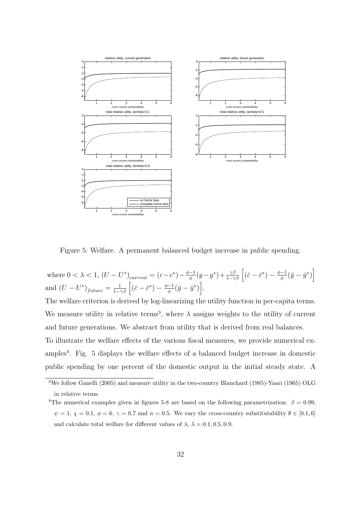

Figure 5: Welfare. A permanent balanced budget increase in public spending.

where  $0 < \lambda < 1$ ,  $(U - U^*)_{current} = (c - c^*) - \frac{\phi - 1}{\phi}$  $\frac{-1}{\phi}(y-y^*)+\frac{\gamma\beta}{1-\gamma\beta}\left[(\bar{c}-\bar{c}^*)-\frac{\phi-1}{\phi}\right]$  $\frac{-1}{\phi}(\bar{y}-\bar{y}^*)\Big]$ and  $(U - U^*)_{future} = \frac{1}{1 - \gamma \beta} \left[ (\bar{c} - \bar{c}^*) - \frac{\phi - 1}{\phi} \right]$  $\frac{-1}{\phi}(\bar{y}-\bar{y}^*)\Big].$ 

The welfare criterion is derived by log-linearizing the utility function in per-capita terms. We measure utility in relative terms<sup>3</sup>, where  $\lambda$  assigns weights to the utility of current and future generations. We abstract from utility that is derived from real balances. To illustrate the welfare effects of the various fiscal measures, we provide numerical examples<sup>4</sup>. Fig. 5 displays the welfare effects of a balanced budget increase in domestic public spending by one percent of the domestic output in the initial steady state. A

<sup>3</sup>We follow Ganelli (2005) and measure utility in the two-country Blanchard (1985)-Yaari (1965) OLG in relative terms.

<sup>&</sup>lt;sup>4</sup>The numerical examples given in figures 5-8 are based on the following parametrization:  $\beta = 0.99$ ,  $\psi = 1, \chi = 0.1, \phi = 6, \gamma = 0.7$  and  $n = 0.5$ . We vary the cross-country substitutability  $\theta \in [0.1, 6]$ and calculate total welfare for different values of  $\lambda$ ,  $\lambda = 0.1, 0.5, 0.9$ .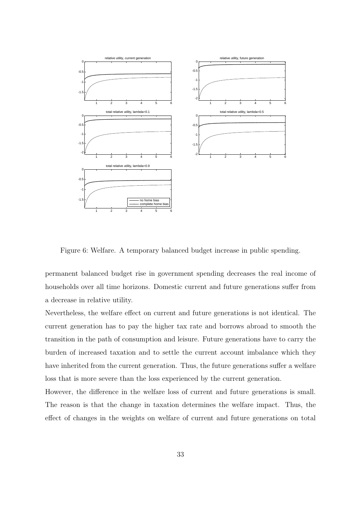

Figure 6: Welfare. A temporary balanced budget increase in public spending.

permanent balanced budget rise in government spending decreases the real income of households over all time horizons. Domestic current and future generations suffer from a decrease in relative utility.

Nevertheless, the welfare effect on current and future generations is not identical. The current generation has to pay the higher tax rate and borrows abroad to smooth the transition in the path of consumption and leisure. Future generations have to carry the burden of increased taxation and to settle the current account imbalance which they have inherited from the current generation. Thus, the future generations suffer a welfare loss that is more severe than the loss experienced by the current generation.

However, the difference in the welfare loss of current and future generations is small. The reason is that the change in taxation determines the welfare impact. Thus, the effect of changes in the weights on welfare of current and future generations on total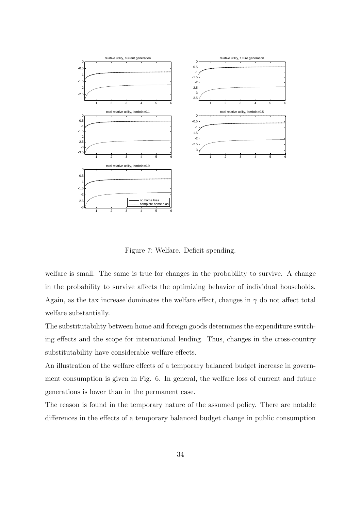

Figure 7: Welfare. Deficit spending.

welfare is small. The same is true for changes in the probability to survive. A change in the probability to survive affects the optimizing behavior of individual households. Again, as the tax increase dominates the welfare effect, changes in  $\gamma$  do not affect total welfare substantially.

The substitutability between home and foreign goods determines the expenditure switching effects and the scope for international lending. Thus, changes in the cross-country substitutability have considerable welfare effects.

An illustration of the welfare effects of a temporary balanced budget increase in government consumption is given in Fig. 6. In general, the welfare loss of current and future generations is lower than in the permanent case.

The reason is found in the temporary nature of the assumed policy. There are notable differences in the effects of a temporary balanced budget change in public consumption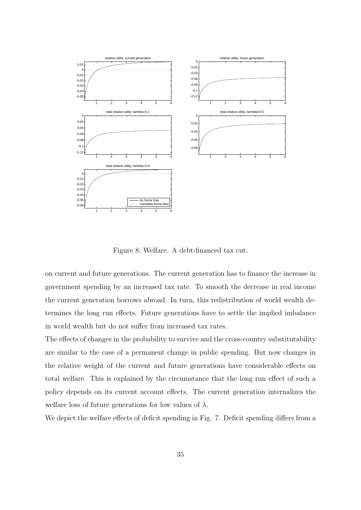

Figure 8: Welfare. A debt-financed tax cut.

on current and future generations. The current generation has to finance the increase in government spending by an increased tax rate. To smooth the decrease in real income the current generation borrows abroad. In turn, this redistribution of world wealth determines the long run effects. Future generations have to settle the implied imbalance in world wealth but do not suffer from increased tax rates.

The effects of changes in the probability to survive and the cross-country substitutability are similar to the case of a permanent change in public spending. But now changes in the relative weight of the current and future generations have considerable effects on total welfare. This is explained by the circumstance that the long run effect of such a policy depends on its current account effects. The current generation internalizes the welfare loss of future generations for low values of  $\lambda$ .

We depict the welfare effects of deficit spending in Fig. 7. Deficit spending differs from a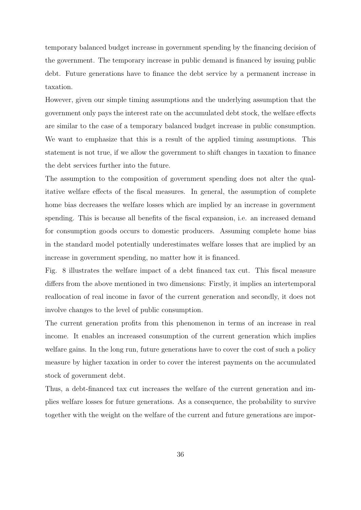temporary balanced budget increase in government spending by the financing decision of the government. The temporary increase in public demand is financed by issuing public debt. Future generations have to finance the debt service by a permanent increase in taxation.

However, given our simple timing assumptions and the underlying assumption that the government only pays the interest rate on the accumulated debt stock, the welfare effects are similar to the case of a temporary balanced budget increase in public consumption. We want to emphasize that this is a result of the applied timing assumptions. This statement is not true, if we allow the government to shift changes in taxation to finance the debt services further into the future.

The assumption to the composition of government spending does not alter the qualitative welfare effects of the fiscal measures. In general, the assumption of complete home bias decreases the welfare losses which are implied by an increase in government spending. This is because all benefits of the fiscal expansion, i.e. an increased demand for consumption goods occurs to domestic producers. Assuming complete home bias in the standard model potentially underestimates welfare losses that are implied by an increase in government spending, no matter how it is financed.

Fig. 8 illustrates the welfare impact of a debt financed tax cut. This fiscal measure differs from the above mentioned in two dimensions: Firstly, it implies an intertemporal reallocation of real income in favor of the current generation and secondly, it does not involve changes to the level of public consumption.

The current generation profits from this phenomenon in terms of an increase in real income. It enables an increased consumption of the current generation which implies welfare gains. In the long run, future generations have to cover the cost of such a policy measure by higher taxation in order to cover the interest payments on the accumulated stock of government debt.

Thus, a debt-financed tax cut increases the welfare of the current generation and implies welfare losses for future generations. As a consequence, the probability to survive together with the weight on the welfare of the current and future generations are impor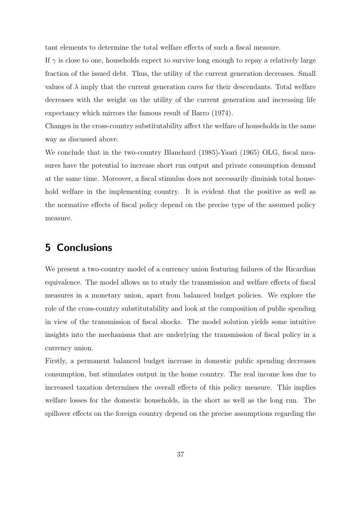tant elements to determine the total welfare effects of such a fiscal measure.

If  $\gamma$  is close to one, households expect to survive long enough to repay a relatively large fraction of the issued debt. Thus, the utility of the current generation decreases. Small values of  $\lambda$  imply that the current generation cares for their descendants. Total welfare decreases with the weight on the utility of the current generation and increasing life expectancy which mirrors the famous result of Barro (1974).

Changes in the cross-country substitutability affect the welfare of households in the same way as discussed above.

We conclude that in the two-country Blanchard (1985)-Yaari (1965) OLG, fiscal measures have the potential to increase short run output and private consumption demand at the same time. Moreover, a fiscal stimulus does not necessarily diminish total household welfare in the implementing country. It is evident that the positive as well as the normative effects of fiscal policy depend on the precise type of the assumed policy measure.

## 5 Conclusions

We present a two-country model of a currency union featuring failures of the Ricardian equivalence. The model allows us to study the transmission and welfare effects of fiscal measures in a monetary union, apart from balanced budget policies. We explore the role of the cross-country substitutability and look at the composition of public spending in view of the transmission of fiscal shocks. The model solution yields some intuitive insights into the mechanisms that are underlying the transmission of fiscal policy in a currency union.

Firstly, a permanent balanced budget increase in domestic public spending decreases consumption, but stimulates output in the home country. The real income loss due to increased taxation determines the overall effects of this policy measure. This implies welfare losses for the domestic households, in the short as well as the long run. The spillover effects on the foreign country depend on the precise assumptions regarding the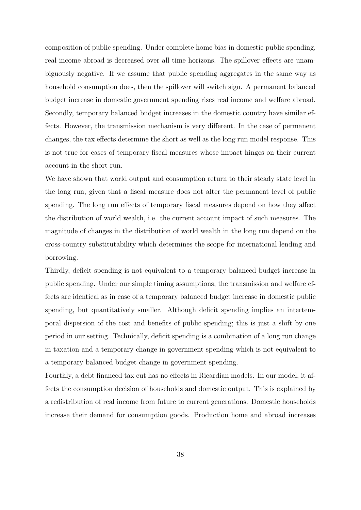composition of public spending. Under complete home bias in domestic public spending, real income abroad is decreased over all time horizons. The spillover effects are unambiguously negative. If we assume that public spending aggregates in the same way as household consumption does, then the spillover will switch sign. A permanent balanced budget increase in domestic government spending rises real income and welfare abroad. Secondly, temporary balanced budget increases in the domestic country have similar effects. However, the transmission mechanism is very different. In the case of permanent changes, the tax effects determine the short as well as the long run model response. This is not true for cases of temporary fiscal measures whose impact hinges on their current account in the short run.

We have shown that world output and consumption return to their steady state level in the long run, given that a fiscal measure does not alter the permanent level of public spending. The long run effects of temporary fiscal measures depend on how they affect the distribution of world wealth, i.e. the current account impact of such measures. The magnitude of changes in the distribution of world wealth in the long run depend on the cross-country substitutability which determines the scope for international lending and borrowing.

Thirdly, deficit spending is not equivalent to a temporary balanced budget increase in public spending. Under our simple timing assumptions, the transmission and welfare effects are identical as in case of a temporary balanced budget increase in domestic public spending, but quantitatively smaller. Although deficit spending implies an intertemporal dispersion of the cost and benefits of public spending; this is just a shift by one period in our setting. Technically, deficit spending is a combination of a long run change in taxation and a temporary change in government spending which is not equivalent to a temporary balanced budget change in government spending.

Fourthly, a debt financed tax cut has no effects in Ricardian models. In our model, it affects the consumption decision of households and domestic output. This is explained by a redistribution of real income from future to current generations. Domestic households increase their demand for consumption goods. Production home and abroad increases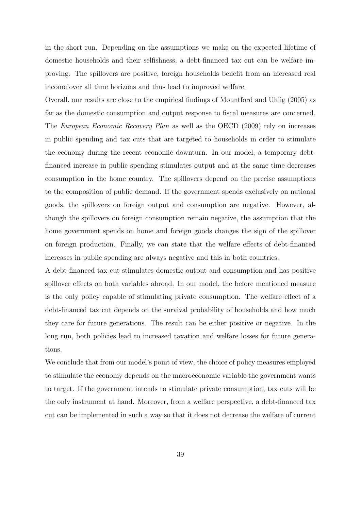in the short run. Depending on the assumptions we make on the expected lifetime of domestic households and their selfishness, a debt-financed tax cut can be welfare improving. The spillovers are positive, foreign households benefit from an increased real income over all time horizons and thus lead to improved welfare.

Overall, our results are close to the empirical findings of Mountford and Uhlig (2005) as far as the domestic consumption and output response to fiscal measures are concerned. The European Economic Recovery Plan as well as the OECD (2009) rely on increases in public spending and tax cuts that are targeted to households in order to stimulate the economy during the recent economic downturn. In our model, a temporary debtfinanced increase in public spending stimulates output and at the same time decreases consumption in the home country. The spillovers depend on the precise assumptions to the composition of public demand. If the government spends exclusively on national goods, the spillovers on foreign output and consumption are negative. However, although the spillovers on foreign consumption remain negative, the assumption that the home government spends on home and foreign goods changes the sign of the spillover on foreign production. Finally, we can state that the welfare effects of debt-financed increases in public spending are always negative and this in both countries.

A debt-financed tax cut stimulates domestic output and consumption and has positive spillover effects on both variables abroad. In our model, the before mentioned measure is the only policy capable of stimulating private consumption. The welfare effect of a debt-financed tax cut depends on the survival probability of households and how much they care for future generations. The result can be either positive or negative. In the long run, both policies lead to increased taxation and welfare losses for future generations.

We conclude that from our model's point of view, the choice of policy measures employed to stimulate the economy depends on the macroeconomic variable the government wants to target. If the government intends to stimulate private consumption, tax cuts will be the only instrument at hand. Moreover, from a welfare perspective, a debt-financed tax cut can be implemented in such a way so that it does not decrease the welfare of current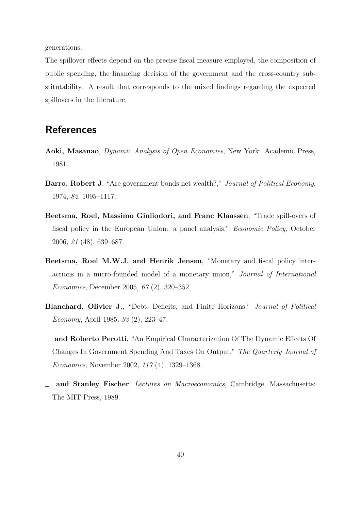generations.

The spillover effects depend on the precise fiscal measure employed, the composition of public spending, the financing decision of the government and the cross-country substitutability. A result that corresponds to the mixed findings regarding the expected spillovers in the literature.

## **References**

- Aoki, Masanao, Dynamic Analysis of Open Economies, New York: Academic Press, 1981.
- Barro, Robert J, "Are government bonds net wealth?," Journal of Political Economy, 1974, 82, 1095–1117.
- Beetsma, Roel, Massimo Giuliodori, and Franc Klaassen, "Trade spill-overs of fiscal policy in the European Union: a panel analysis," Economic Policy, October 2006, 21 (48), 639–687.
- Beetsma, Roel M.W.J. and Henrik Jensen, "Monetary and fiscal policy interactions in a micro-founded model of a monetary union," Journal of International Economics, December 2005, 67 (2), 320–352.
- Blanchard, Olivier J., "Debt, Deficits, and Finite Horizons," Journal of Political Economy, April 1985, 93 (2), 223–47.
- and Roberto Perotti, "An Empirical Characterization Of The Dynamic Effects Of Changes In Government Spending And Taxes On Output," The Quarterly Journal of Economics, November 2002, 117 (4), 1329–1368.
- and Stanley Fischer, Lectures on Macroeconomics, Cambridge, Massachusetts: The MIT Press, 1989.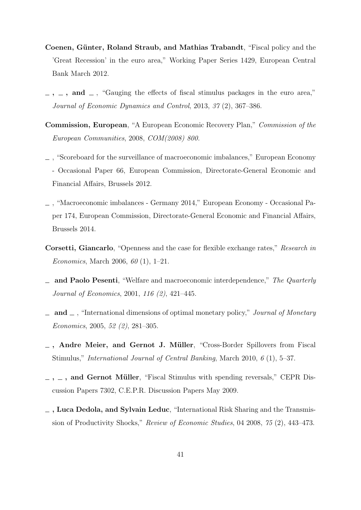- Coenen, Günter, Roland Straub, and Mathias Trabandt, "Fiscal policy and the 'Great Recession' in the euro area," Working Paper Series 1429, European Central Bank March 2012.
- $-$ ,  $-$ , and  $-$ , "Gauging the effects of fiscal stimulus packages in the euro area," Journal of Economic Dynamics and Control, 2013, 37 (2), 367–386.
- Commission, European, "A European Economic Recovery Plan," Commission of the European Communities, 2008, COM(2008) 800.
- , "Scoreboard for the surveillance of macroeconomic imbalances," European Economy - Occasional Paper 66, European Commission, Directorate-General Economic and Financial Affairs, Brussels 2012.
- , "Macroeconomic imbalances Germany 2014," European Economy Occasional Paper 174, European Commission, Directorate-General Economic and Financial Affairs, Brussels 2014.
- Corsetti, Giancarlo, "Openness and the case for flexible exchange rates," Research in *Economics*, March 2006,  $60(1)$ , 1–21.
- and Paolo Pesenti, "Welfare and macroeconomic interdependence," The Quarterly Journal of Economics, 2001, 116 (2), 421–445.
- $\Box$  and  $\Box$ , "International dimensions of optimal monetary policy," *Journal of Monetary* Economics, 2005, 52 (2), 281–305.
- $\Box$ , Andre Meier, and Gernot J. Müller, "Cross-Border Spillovers from Fiscal Stimulus," International Journal of Central Banking, March 2010, 6 (1), 5–37.
- $-$ ,  $-$ , and Gernot Müller, "Fiscal Stimulus with spending reversals," CEPR Discussion Papers 7302, C.E.P.R. Discussion Papers May 2009.
- , Luca Dedola, and Sylvain Leduc, "International Risk Sharing and the Transmission of Productivity Shocks," Review of Economic Studies, 04 2008, 75 (2), 443–473.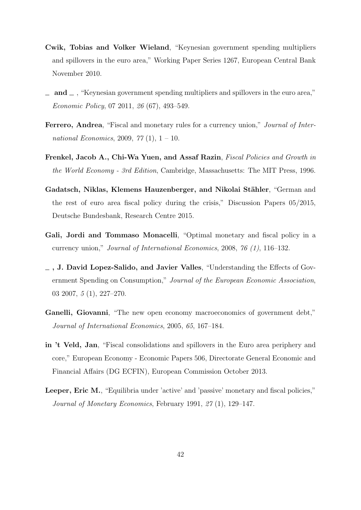- Cwik, Tobias and Volker Wieland, "Keynesian government spending multipliers and spillovers in the euro area," Working Paper Series 1267, European Central Bank November 2010.
- $\Box$  and  $\Box$ , "Keynesian government spending multipliers and spillovers in the euro area," Economic Policy, 07 2011, 26 (67), 493–549.
- Ferrero, Andrea, "Fiscal and monetary rules for a currency union," *Journal of Inter*national Economics, 2009,  $77(1)$ ,  $1 - 10$ .
- Frenkel, Jacob A., Chi-Wa Yuen, and Assaf Razin, Fiscal Policies and Growth in the World Economy - 3rd Edition, Cambridge, Massachusetts: The MIT Press, 1996.
- Gadatsch, Niklas, Klemens Hauzenberger, and Nikolai Stähler, "German and the rest of euro area fiscal policy during the crisis," Discussion Papers 05/2015, Deutsche Bundesbank, Research Centre 2015.
- Gali, Jordi and Tommaso Monacelli, "Optimal monetary and fiscal policy in a currency union," Journal of International Economics, 2008, 76 (1), 116–132.
- , J. David Lopez-Salido, and Javier Valles, "Understanding the Effects of Government Spending on Consumption," Journal of the European Economic Association, 03 2007, 5 (1), 227–270.
- Ganelli, Giovanni, "The new open economy macroeconomics of government debt," Journal of International Economics, 2005, 65, 167–184.
- in 't Veld, Jan, "Fiscal consolidations and spillovers in the Euro area periphery and core," European Economy - Economic Papers 506, Directorate General Economic and Financial Affairs (DG ECFIN), European Commission October 2013.
- Leeper, Eric M., "Equilibria under 'active' and 'passive' monetary and fiscal policies," Journal of Monetary Economics, February 1991, 27 (1), 129–147.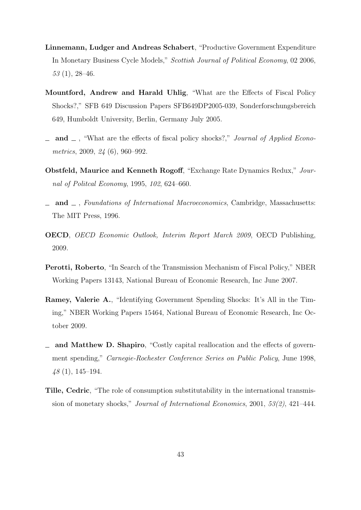- Linnemann, Ludger and Andreas Schabert, "Productive Government Expenditure In Monetary Business Cycle Models," Scottish Journal of Political Economy, 02 2006, 53 (1), 28–46.
- Mountford, Andrew and Harald Uhlig, "What are the Effects of Fiscal Policy Shocks?," SFB 649 Discussion Papers SFB649DP2005-039, Sonderforschungsbereich 649, Humboldt University, Berlin, Germany July 2005.
- $\Box$  and  $\Box$ , "What are the effects of fiscal policy shocks?," *Journal of Applied Econo*metrics, 2009, 24 (6), 960–992.
- Obstfeld, Maurice and Kenneth Rogoff, "Exchange Rate Dynamics Redux," Journal of Politcal Economy, 1995, 102, 624–660.
- and  $\Box$ , Foundations of International Macroeconomics, Cambridge, Massachusetts: The MIT Press, 1996.
- OECD, OECD Economic Outlook, Interim Report March 2009, OECD Publishing, 2009.
- Perotti, Roberto, "In Search of the Transmission Mechanism of Fiscal Policy," NBER Working Papers 13143, National Bureau of Economic Research, Inc June 2007.
- Ramey, Valerie A., "Identifying Government Spending Shocks: It's All in the Timing," NBER Working Papers 15464, National Bureau of Economic Research, Inc October 2009.
- and Matthew D. Shapiro, "Costly capital reallocation and the effects of government spending," Carnegie-Rochester Conference Series on Public Policy, June 1998, 48 (1), 145–194.
- Tille, Cedric, "The role of consumption substitutability in the international transmission of monetary shocks," Journal of International Economics, 2001, 53(2), 421–444.